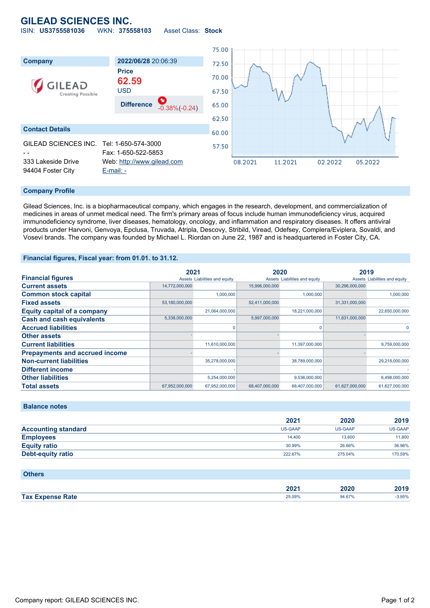# **GILEAD SCIENCES INC.** ISIN: **US3755581036** WKN: **375558103** Asset Class: **Stock**

75.00 **Company 2022/06/28** 20:06:39 72.50 **Price** 70.00 **62.59** .EAD USD 67.50 **Creating Possible Difference** -0.38%(-0.24) 65.00 62.50 **Contact Details** 60.00 GILEAD SCIENCES INC. Tel: 1-650-574-3000 57.50 - - Fax: 1-650-522-5853 333 Lakeside Drive Web: [http://www.gilead.com](http://www.gilead.com/) 08.2021 11.2021 02.2022 05.2022 94404 Foster City [E-mail: -](mailto:-)

### **Company Profile**

Gilead Sciences, Inc. is a biopharmaceutical company, which engages in the research, development, and commercialization of medicines in areas of unmet medical need. The firm's primary areas of focus include human immunodeficiency virus, acquired immunodeficiency syndrome, liver diseases, hematology, oncology, and inflammation and respiratory diseases. It offers antiviral products under Harvoni, Genvoya, Epclusa, Truvada, Atripla, Descovy, Stribild, Viread, Odefsey, Complera/Eviplera, Sovaldi, and Vosevi brands. The company was founded by Michael L. Riordan on June 22, 1987 and is headquartered in Foster City, CA.

#### **Financial figures, Fiscal year: from 01.01. to 31.12.**

|                                       | 2021           |                               | 2020           |                               | 2019           |                               |
|---------------------------------------|----------------|-------------------------------|----------------|-------------------------------|----------------|-------------------------------|
| <b>Financial figures</b>              |                | Assets Liabilities and equity |                | Assets Liabilities and equity |                | Assets Liabilities and equity |
| <b>Current assets</b>                 | 14,772,000,000 |                               | 15,996,000,000 |                               | 30,296,000,000 |                               |
| <b>Common stock capital</b>           |                | 1.000.000                     |                | 1,000,000                     |                | 1,000,000                     |
| <b>Fixed assets</b>                   | 53,180,000,000 |                               | 52,411,000,000 |                               | 31,331,000,000 |                               |
| <b>Equity capital of a company</b>    |                | 21,064,000,000                |                | 18,221,000,000                |                | 22,650,000,000                |
| <b>Cash and cash equivalents</b>      | 5,338,000,000  |                               | 5,997,000,000  |                               | 11,631,000,000 |                               |
| <b>Accrued liabilities</b>            |                |                               |                | O                             |                |                               |
| <b>Other assets</b>                   |                |                               |                |                               |                |                               |
| <b>Current liabilities</b>            |                | 11,610,000,000                |                | 11,397,000,000                |                | 9,759,000,000                 |
| <b>Prepayments and accrued income</b> |                |                               |                |                               |                |                               |
| <b>Non-current liabilities</b>        |                | 35,278,000,000                |                | 38,789,000,000                |                | 29,218,000,000                |
| <b>Different income</b>               |                |                               |                |                               |                |                               |
| <b>Other liabilities</b>              |                | 5,254,000,000                 |                | 9,536,000,000                 |                | 6,498,000,000                 |
| <b>Total assets</b>                   | 67,952,000,000 | 67,952,000,000                | 68,407,000,000 | 68,407,000,000                | 61.627.000.000 | 61.627.000.000                |

# **Balance notes**

|                            | 2021    | 2020    | 2019    |
|----------------------------|---------|---------|---------|
| <b>Accounting standard</b> | US-GAAP | US-GAAP | US-GAAP |
| <b>Employees</b>           | 14.400  | 13,600  | 11,800  |
| <b>Equity ratio</b>        | 30.99%  | 26.66%  | 36.96%  |
| <b>Debt-equity ratio</b>   | 222.67% | 275.04% | 170.59% |

#### **Others**

|                             | החר<br>ZUZ | 2020 | $-1$  |
|-----------------------------|------------|------|-------|
| <b>Tax</b><br>Rate<br>7 M T | 25.UY%     | 67%  | 1.95% |